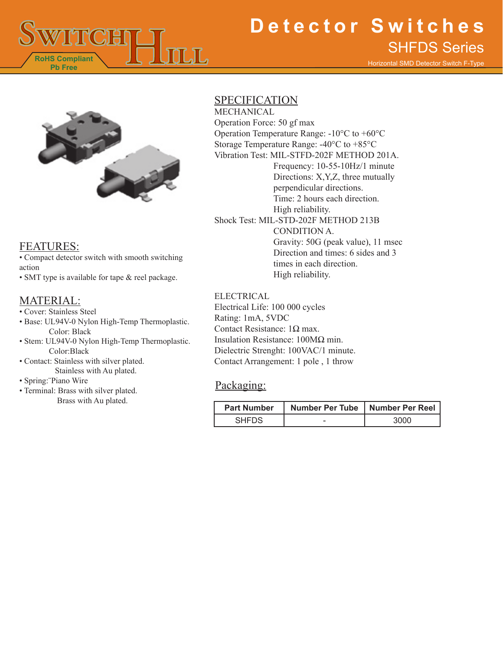

# **Detector Switches** SHFDS Series

Horizontal SMD Detector Switch F-Type



### FEATURES:

• Compact detector switch with smooth switching action

• SMT type is available for tape & reel package.

### MATERIAL:

- Cover: Stainless Steel
- Base: UL94V-0 Nylon High-Temp Thermoplastic. Color: Black
- Stem: UL94V-0 Nylon High-Temp Thermoplastic. Color:Black
- Contact: Stainless with silver plated. Stainless with Au plated.
- Spring:¨Piano Wire
- Terminal: Brass with silver plated.

### SPECIFICATION

MECHANICAL Operation Force: 50 gf max Operation Temperature Range: -10°C to +60°C Storage Temperature Range: -40°C to +85°C Vibration Test: MIL-STFD-202F METHOD 201A. Frequency: 10-55-10Hz/1 minute Directions: X,Y,Z, three mutually perpendicular directions. Time: 2 hours each direction. High reliability. Shock Test: MIL-STD-202F METHOD 213B CONDITION A. Gravity: 50G (peak value), 11 msec Direction and times: 6 sides and 3 times in each direction. High reliability.

#### ELECTRICAL

Electrical Life: 100 000 cycles Rating: 1mA, 5VDC Contact Resistance: 1Ω max. Insulation Resistance: 100MΩ min. Dielectric Strenght: 100VAC/1 minute. Contact Arrangement: 1 pole , 1 throw

### Packaging:

| Brass with Au plated. | <b>Part Number</b> | Number Per Tube   Number Per Reel |      |
|-----------------------|--------------------|-----------------------------------|------|
|                       | <b>SHFDS</b>       | -                                 | 3000 |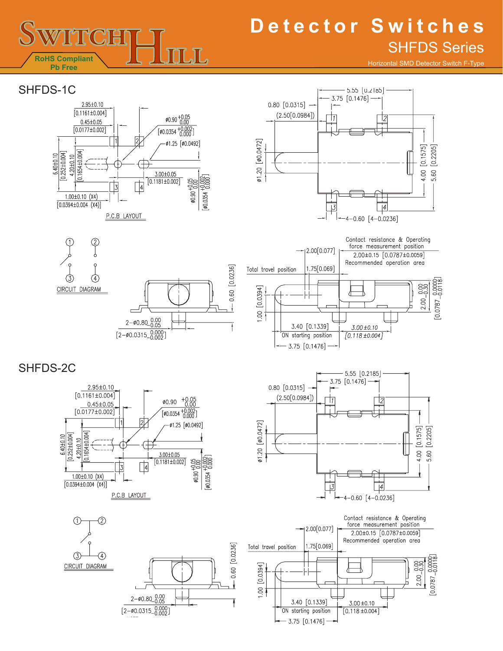# **Detector Switches** SHFDS Series

Horizontal SMD Detector Switch F-Type

### SHFDS-1C

**RoHS Compliant Pb Free**

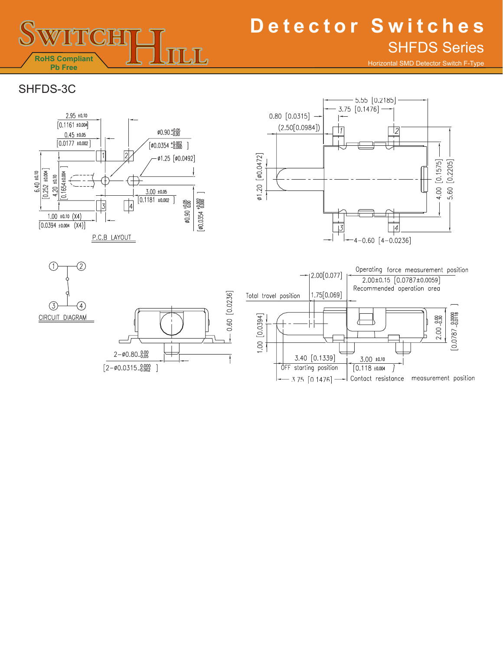

# **Detector Switches** SHFDS Series

Horizontal SMD Detector Switch F-Type

## SHFDS-3C